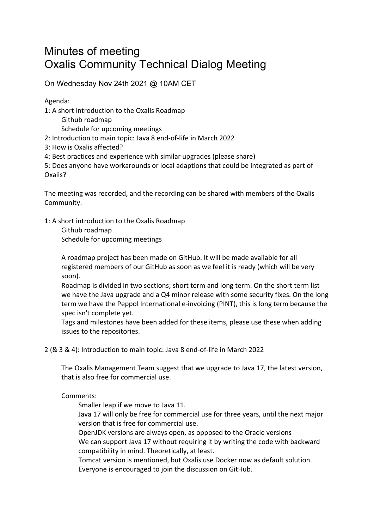## Minutes of meeting Oxalis Community Technical Dialog Meeting

On Wednesday Nov 24th 2021 @ 10AM CET

Agenda:

- 1: A short introduction to the Oxalis Roadmap
	- Github roadmap

Schedule for upcoming meetings

- 2: Introduction to main topic: Java 8 end-of-life in March 2022
- 3: How is Oxalis affected?
- 4: Best practices and experience with similar upgrades (please share)

5: Does anyone have workarounds or local adaptions that could be integrated as part of Oxalis?

The meeting was recorded, and the recording can be shared with members of the Oxalis Community.

1: A short introduction to the Oxalis Roadmap

Github roadmap Schedule for upcoming meetings

A roadmap project has been made on GitHub. It will be made available for all registered members of our GitHub as soon as we feel it is ready (which will be very soon).

Roadmap is divided in two sections; short term and long term. On the short term list we have the Java upgrade and a Q4 minor release with some security fixes. On the long term we have the Peppol International e-invoicing (PINT), this is long term because the spec isn't complete yet.

Tags and milestones have been added for these items, please use these when adding issues to the repositories.

2 (& 3 & 4): Introduction to main topic: Java 8 end-of-life in March 2022

The Oxalis Management Team suggest that we upgrade to Java 17, the latest version, that is also free for commercial use.

## Comments:

Smaller leap if we move to Java 11.

Java 17 will only be free for commercial use for three years, until the next major version that is free for commercial use.

OpenJDK versions are always open, as opposed to the Oracle versions We can support Java 17 without requiring it by writing the code with backward compatibility in mind. Theoretically, at least.

Tomcat version is mentioned, but Oxalis use Docker now as default solution. Everyone is encouraged to join the discussion on GitHub.